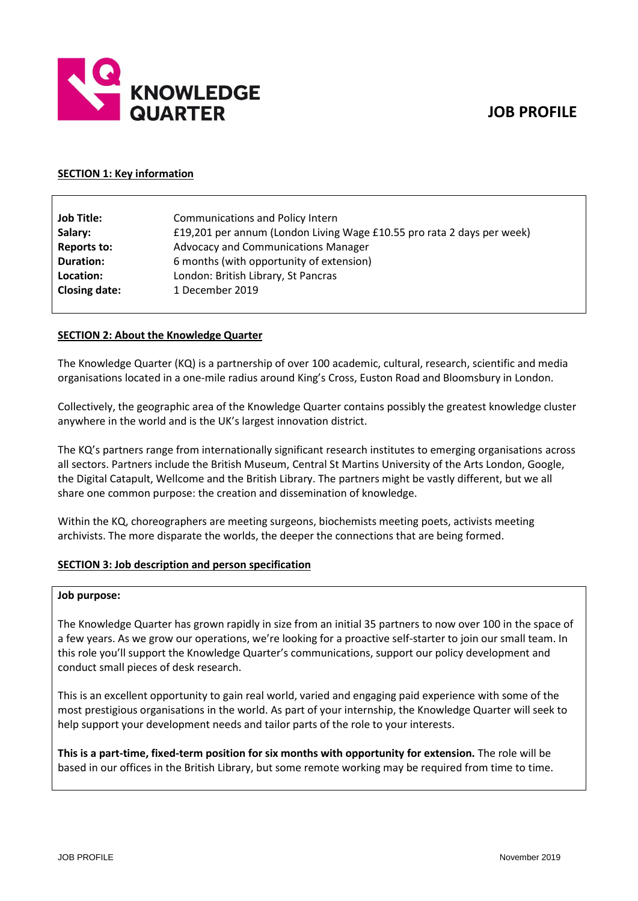# **JOB PROFILE**



#### **SECTION 1: Key information**

| <b>Job Title:</b>    | <b>Communications and Policy Intern</b>                                |
|----------------------|------------------------------------------------------------------------|
| Salary:              | £19,201 per annum (London Living Wage £10.55 pro rata 2 days per week) |
| <b>Reports to:</b>   | <b>Advocacy and Communications Manager</b>                             |
| <b>Duration:</b>     | 6 months (with opportunity of extension)                               |
| Location:            | London: British Library, St Pancras                                    |
| <b>Closing date:</b> | 1 December 2019                                                        |

# **SECTION 2: About the Knowledge Quarter**

The Knowledge Quarter (KQ) is a partnership of over 100 academic, cultural, research, scientific and media organisations located in a one-mile radius around King's Cross, Euston Road and Bloomsbury in London.

Collectively, the geographic area of the Knowledge Quarter contains possibly the greatest knowledge cluster anywhere in the world and is the UK's largest innovation district.

The KQ's partners range from internationally significant research institutes to emerging organisations across all sectors. Partners include the British Museum, Central St Martins University of the Arts London, Google, the Digital Catapult, Wellcome and the British Library. The partners might be vastly different, but we all share one common purpose: the creation and dissemination of knowledge.

Within the KQ, choreographers are meeting surgeons, biochemists meeting poets, activists meeting archivists. The more disparate the worlds, the deeper the connections that are being formed.

#### **SECTION 3: Job description and person specification**

#### **Job purpose:**

The Knowledge Quarter has grown rapidly in size from an initial 35 partners to now over 100 in the space of a few years. As we grow our operations, we're looking for a proactive self-starter to join our small team. In this role you'll support the Knowledge Quarter's communications, support our policy development and conduct small pieces of desk research.

This is an excellent opportunity to gain real world, varied and engaging paid experience with some of the most prestigious organisations in the world. As part of your internship, the Knowledge Quarter will seek to help support your development needs and tailor parts of the role to your interests.

**This is a part-time, fixed-term position for six months with opportunity for extension.** The role will be based in our offices in the British Library, but some remote working may be required from time to time.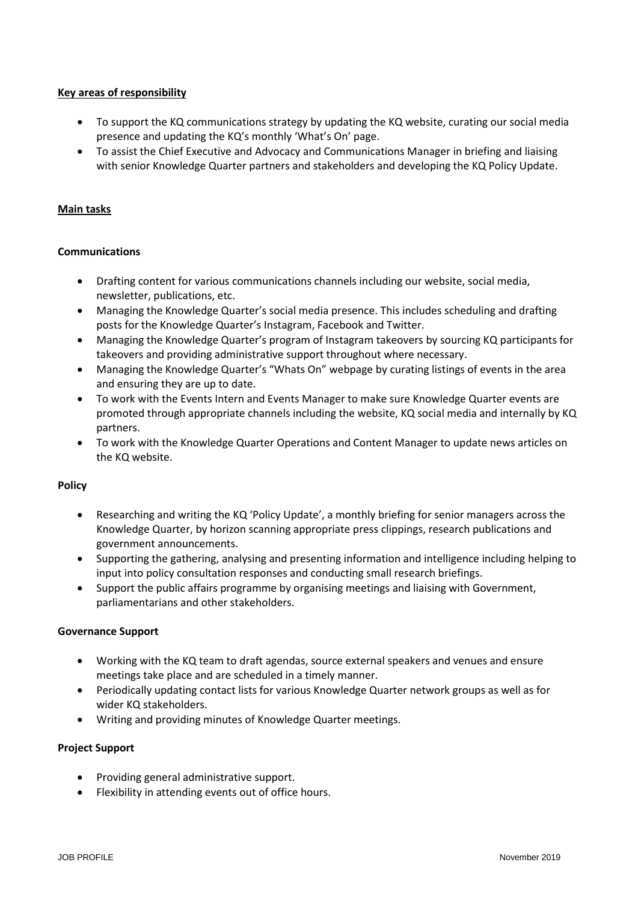# **Key areas of responsibility**

- To support the KQ communications strategy by updating the KQ website, curating our social media presence and updating the KQ's monthly 'What's On' page.
- To assist the Chief Executive and Advocacy and Communications Manager in briefing and liaising with senior Knowledge Quarter partners and stakeholders and developing the KQ Policy Update.

### **Main tasks**

#### **Communications**

- Drafting content for various communications channels including our website, social media, newsletter, publications, etc.
- Managing the Knowledge Quarter's social media presence. This includes scheduling and drafting posts for the Knowledge Quarter's Instagram, Facebook and Twitter.
- Managing the Knowledge Quarter's program of Instagram takeovers by sourcing KQ participants for takeovers and providing administrative support throughout where necessary.
- Managing the Knowledge Quarter's "Whats On" webpage by curating listings of events in the area and ensuring they are up to date.
- To work with the Events Intern and Events Manager to make sure Knowledge Quarter events are promoted through appropriate channels including the website, KQ social media and internally by KQ partners.
- To work with the Knowledge Quarter Operations and Content Manager to update news articles on the KQ website.

#### **Policy**

- Researching and writing the KQ 'Policy Update', a monthly briefing for senior managers across the Knowledge Quarter, by horizon scanning appropriate press clippings, research publications and government announcements.
- Supporting the gathering, analysing and presenting information and intelligence including helping to input into policy consultation responses and conducting small research briefings.
- Support the public affairs programme by organising meetings and liaising with Government, parliamentarians and other stakeholders.

#### **Governance Support**

- Working with the KQ team to draft agendas, source external speakers and venues and ensure meetings take place and are scheduled in a timely manner.
- Periodically updating contact lists for various Knowledge Quarter network groups as well as for wider KQ stakeholders.
- Writing and providing minutes of Knowledge Quarter meetings.

# **Project Support**

- Providing general administrative support.
- Flexibility in attending events out of office hours.